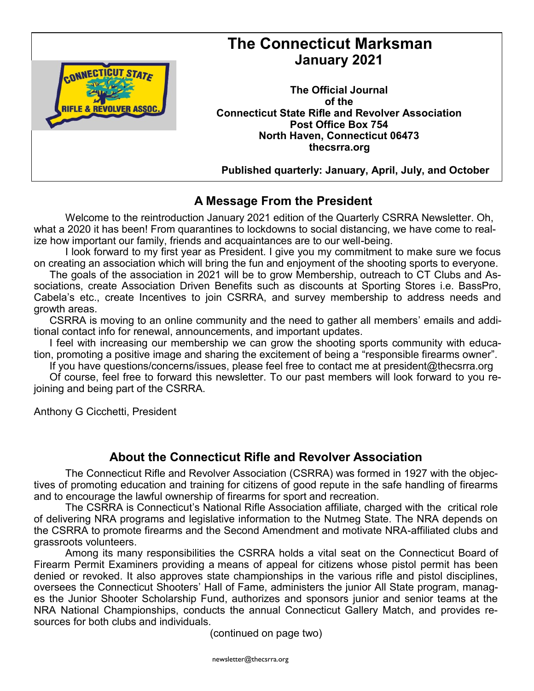

# **The Connecticut Marksman January 2021**

**The Official Journal of the Connecticut State Rifle and Revolver Association Post Office Box 754 North Haven, Connecticut 06473 thecsrra.org**

 **Published quarterly: January, April, July, and October**

### **A Message From the President**

Welcome to the reintroduction January 2021 edition of the Quarterly CSRRA Newsletter. Oh, what a 2020 it has been! From quarantines to lockdowns to social distancing, we have come to realize how important our family, friends and acquaintances are to our well-being.

I look forward to my first year as President. I give you my commitment to make sure we focus on creating an association which will bring the fun and enjoyment of the shooting sports to everyone.

The goals of the association in 2021 will be to grow Membership, outreach to CT Clubs and Associations, create Association Driven Benefits such as discounts at Sporting Stores i.e. BassPro, Cabela's etc., create Incentives to join CSRRA, and survey membership to address needs and growth areas.

CSRRA is moving to an online community and the need to gather all members' emails and additional contact info for renewal, announcements, and important updates.

I feel with increasing our membership we can grow the shooting sports community with education, promoting a positive image and sharing the excitement of being a "responsible firearms owner".

If you have questions/concerns/issues, please feel free to contact me at president@thecsrra.org

Of course, feel free to forward this newsletter. To our past members will look forward to you rejoining and being part of the CSRRA.

Anthony G Cicchetti, President

### **About the Connecticut Rifle and Revolver Association**

The Connecticut Rifle and Revolver Association (CSRRA) was formed in 1927 with the objectives of promoting education and training for citizens of good repute in the safe handling of firearms and to encourage the lawful ownership of firearms for sport and recreation.

The CSRRA is Connecticut's National Rifle Association affiliate, charged with the critical role of delivering NRA programs and legislative information to the Nutmeg State. The NRA depends on the CSRRA to promote firearms and the Second Amendment and motivate NRA-affiliated clubs and grassroots volunteers.

Among its many responsibilities the CSRRA holds a vital seat on the Connecticut Board of Firearm Permit Examiners providing a means of appeal for citizens whose pistol permit has been denied or revoked. It also approves state championships in the various rifle and pistol disciplines, oversees the Connecticut Shooters' Hall of Fame, administers the junior All State program, manages the Junior Shooter Scholarship Fund, authorizes and sponsors junior and senior teams at the NRA National Championships, conducts the annual Connecticut Gallery Match, and provides resources for both clubs and individuals.

(continued on page two)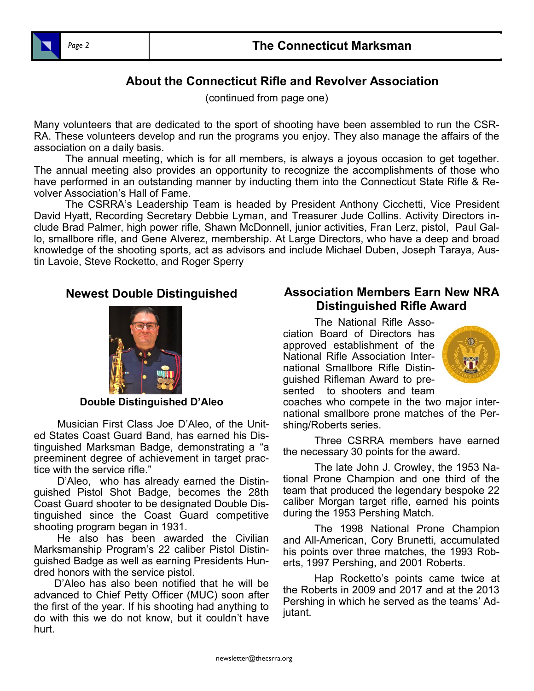

### **About the Connecticut Rifle and Revolver Association**

(continued from page one)

Many volunteers that are dedicated to the sport of shooting have been assembled to run the CSR-RA. These volunteers develop and run the programs you enjoy. They also manage the affairs of the association on a daily basis.

The annual meeting, which is for all members, is always a joyous occasion to get together. The annual meeting also provides an opportunity to recognize the accomplishments of those who have performed in an outstanding manner by inducting them into the Connecticut State Rifle & Revolver Association's Hall of Fame.

The CSRRA's Leadership Team is headed by President Anthony Cicchetti, Vice President David Hyatt, Recording Secretary Debbie Lyman, and Treasurer Jude Collins. Activity Directors include Brad Palmer, high power rifle, Shawn McDonnell, junior activities, Fran Lerz, pistol, Paul Gallo, smallbore rifle, and Gene Alverez, membership. At Large Directors, who have a deep and broad knowledge of the shooting sports, act as advisors and include Michael Duben, Joseph Taraya, Austin Lavoie, Steve Rocketto, and Roger Sperry

#### **Newest Double Distinguished**



#### **Double Distinguished D'Aleo**

 Musician First Class Joe D'Aleo, of the United States Coast Guard Band, has earned his Distinguished Marksman Badge, demonstrating a "a preeminent degree of achievement in target practice with the service rifle."

 D'Aleo, who has already earned the Distinguished Pistol Shot Badge, becomes the 28th Coast Guard shooter to be designated Double Distinguished since the Coast Guard competitive shooting program began in 1931.

 He also has been awarded the Civilian Marksmanship Program's 22 caliber Pistol Distinguished Badge as well as earning Presidents Hundred honors with the service pistol.

 D'Aleo has also been notified that he will be advanced to Chief Petty Officer (MUC) soon after the first of the year. If his shooting had anything to do with this we do not know, but it couldn't have hurt.

#### **Association Members Earn New NRA Distinguished Rifle Award**

The National Rifle Association Board of Directors has approved establishment of the National Rifle Association International Smallbore Rifle Distinguished Rifleman Award to presented to shooters and team



coaches who compete in the two major international smallbore prone matches of the Pershing/Roberts series.

Three CSRRA members have earned the necessary 30 points for the award.

The late John J. Crowley, the 1953 National Prone Champion and one third of the team that produced the legendary bespoke 22 caliber Morgan target rifle, earned his points during the 1953 Pershing Match.

The 1998 National Prone Champion and All-American, Cory Brunetti, accumulated his points over three matches, the 1993 Roberts, 1997 Pershing, and 2001 Roberts.

Hap Rocketto's points came twice at the Roberts in 2009 and 2017 and at the 2013 Pershing in which he served as the teams' Adjutant.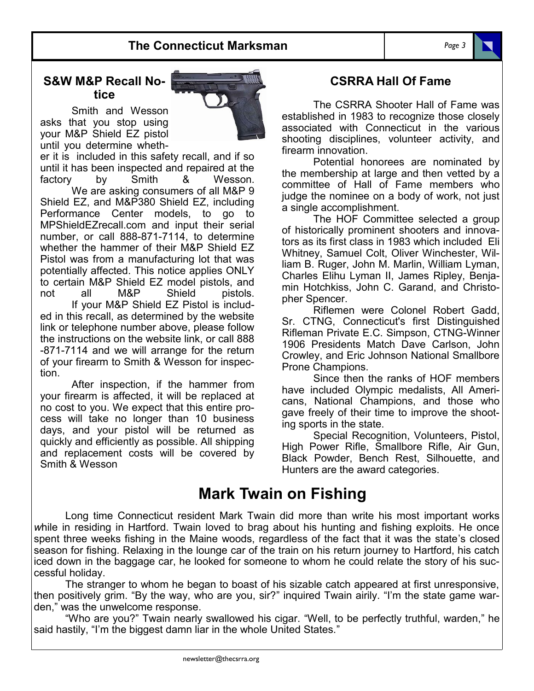#### **S&W M&P Recall Notice**

Smith and Wesson asks that you stop using your M&P Shield EZ pistol until you determine wheth-



er it is included in this safety recall, and if so until it has been inspected and repaired at the factory by Smith & Wesson. We are asking consumers of all M&P 9 Shield EZ, and M&P380 Shield EZ, including Performance Center models, to go to [MPShieldEZrecall.com](https://clicks.aweber.com/y/ct/?l=HzIlh&m=g3RN4Rb51c28m96&b=XyWycvyoeVX2CuzV_Cz9.w) and input their serial number, or call 888-871-7114, to determine whether the hammer of their M&P Shield EZ Pistol was from a manufacturing lot that was potentially affected. This notice applies ONLY to certain M&P Shield EZ model pistols, and not all M&P Shield pistols. If your M&P Shield EZ Pistol is included in this recall, as determined by the website link or telephone number above, please follow the instructions on the website link, or call 888 -871-7114 and we will arrange for the return of your firearm to Smith & Wesson for inspection.

After inspection, if the hammer from your firearm is affected, it will be replaced at no cost to you. We expect that this entire process will take no longer than 10 business days, and your pistol will be returned as quickly and efficiently as possible. All shipping and replacement costs will be covered by Smith & Wesson

#### **CSRRA Hall Of Fame**

The CSRRA Shooter Hall of Fame was established in 1983 to recognize those closely associated with Connecticut in the various shooting disciplines, volunteer activity, and firearm innovation.

Potential honorees are nominated by the membership at large and then vetted by a committee of Hall of Fame members who judge the nominee on a body of work, not just a single accomplishment.

The HOF Committee selected a group of historically prominent shooters and innovators as its first class in 1983 which included Eli Whitney, Samuel Colt, Oliver Winchester, William B. Ruger, John M. Marlin, William Lyman, Charles Elihu Lyman II, James Ripley, Benjamin Hotchkiss, John C. Garand, and Christopher Spencer.

Riflemen were Colonel Robert Gadd, Sr. CTNG, Connecticut's first Distinguished Rifleman Private E.C. Simpson, CTNG-Winner 1906 Presidents Match Dave Carlson, John Crowley, and Eric Johnson National Smallbore Prone Champions.

Since then the ranks of HOF members have included Olympic medalists, All Americans, National Champions, and those who gave freely of their time to improve the shooting sports in the state.

Special Recognition, Volunteers, Pistol, High Power Rifle, Smallbore Rifle, Air Gun, Black Powder, Bench Rest, Silhouette, and Hunters are the award categories.

# **Mark Twain on Fishing**

Long time Connecticut resident Mark Twain did more than write his most important works *w*hile in residing in Hartford. Twain loved to brag about his hunting and fishing exploits. He once spent three weeks fishing in the Maine woods, regardless of the fact that it was the state's closed season for fishing. Relaxing in the lounge car of the train on his return journey to Hartford, his catch iced down in the baggage car, he looked for someone to whom he could relate the story of his successful holiday.

The stranger to whom he began to boast of his sizable catch appeared at first unresponsive, then positively grim. "By the way, who are you, sir?" inquired Twain airily. "I'm the state game warden," was the unwelcome response.

"Who are you?" Twain nearly swallowed his cigar. "Well, to be perfectly truthful, warden," he said hastily, "I'm the biggest damn liar in the whole United States."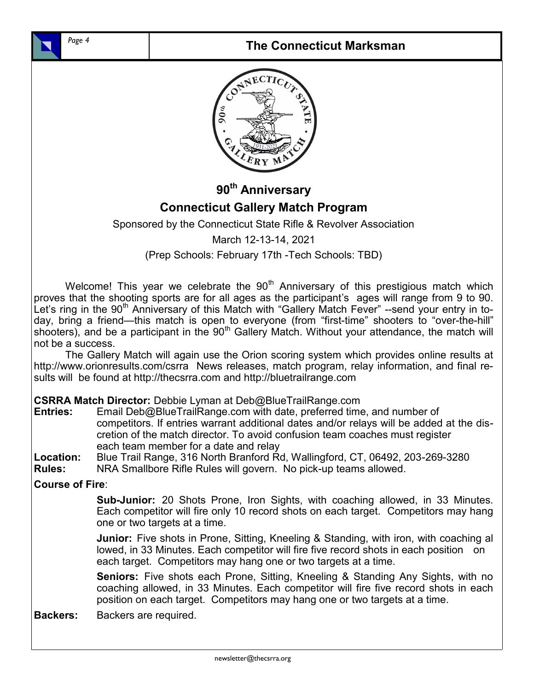

### **The Connecticut Marksman**



**90th Anniversary**

## **Connecticut Gallery Match Program**

Sponsored by the Connecticut State Rifle & Revolver Association

March 12-13-14, 2021

(Prep Schools: February 17th -Tech Schools: TBD)

Welcome! This year we celebrate the  $90<sup>th</sup>$  Anniversary of this prestigious match which proves that the shooting sports are for all ages as the participant's ages will range from 9 to 90. Let's ring in the  $90<sup>th</sup>$  Anniversary of this Match with "Gallery Match Fever" --send your entry in today, bring a friend—this match is open to everyone (from "first-time" shooters to "over-the-hill" shooters), and be a participant in the  $90<sup>th</sup>$  Gallery Match. Without your attendance, the match will not be a success.

The Gallery Match will again use the Orion scoring system which provides online results at http://www.orionresults.com/csrra News releases, match program, relay information, and final results will be found at http://thecsrra.com and http://bluetrailrange.com

**CSRRA Match Director:** Debbie Lyman at Deb@BlueTrailRange.com

**Entries:** Email Deb@BlueTrailRange.com with date, preferred time, and number of competitors. If entries warrant additional dates and/or relays will be added at the discretion of the match director. To avoid confusion team coaches must register each team member for a date and relay

**Location:** Blue Trail Range, 316 North Branford Rd, Wallingford, CT, 06492, 203-269-3280

**Rules:** NRA Smallbore Rifle Rules will govern. No pick-up teams allowed.

**Course of Fire**:

**Sub-Junior:** 20 Shots Prone, Iron Sights, with coaching allowed, in 33 Minutes. Each competitor will fire only 10 record shots on each target. Competitors may hang one or two targets at a time.

**Junior:** Five shots in Prone, Sitting, Kneeling & Standing, with iron, with coaching al lowed, in 33 Minutes. Each competitor will fire five record shots in each position on each target. Competitors may hang one or two targets at a time.

**Seniors:** Five shots each Prone, Sitting, Kneeling & Standing Any Sights, with no coaching allowed, in 33 Minutes. Each competitor will fire five record shots in each position on each target. Competitors may hang one or two targets at a time.

**Backers:** Backers are required.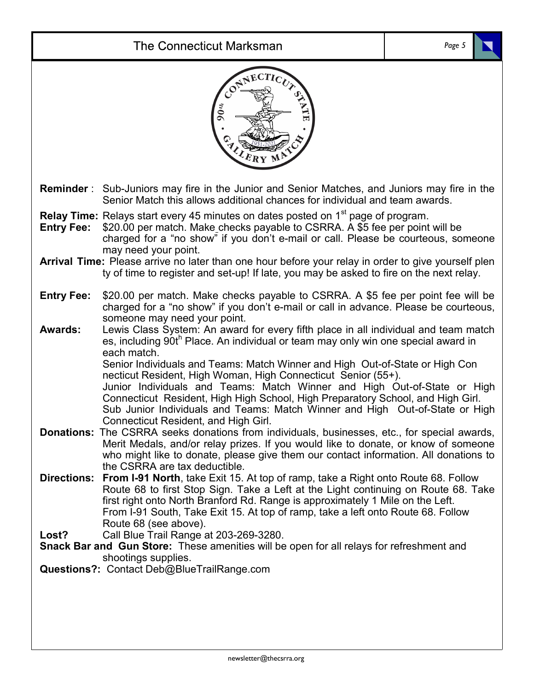# The Connecticut Marksman

|                                                                                                                                                                           | CONNECTICITY OF<br>90u                                                                                                                                                                                                                                                                                                                                                                                                                                                                                                                                                                                                          |  |
|---------------------------------------------------------------------------------------------------------------------------------------------------------------------------|---------------------------------------------------------------------------------------------------------------------------------------------------------------------------------------------------------------------------------------------------------------------------------------------------------------------------------------------------------------------------------------------------------------------------------------------------------------------------------------------------------------------------------------------------------------------------------------------------------------------------------|--|
|                                                                                                                                                                           | <b>Reminder</b> : Sub-Juniors may fire in the Junior and Senior Matches, and Juniors may fire in the<br>Senior Match this allows additional chances for individual and team awards.                                                                                                                                                                                                                                                                                                                                                                                                                                             |  |
| <b>Entry Fee:</b>                                                                                                                                                         | <b>Relay Time:</b> Relays start every 45 minutes on dates posted on 1 <sup>st</sup> page of program.<br>\$20.00 per match. Make checks payable to CSRRA. A \$5 fee per point will be<br>charged for a "no show" if you don't e-mail or call. Please be courteous, someone                                                                                                                                                                                                                                                                                                                                                       |  |
|                                                                                                                                                                           | may need your point.<br>Arrival Time: Please arrive no later than one hour before your relay in order to give yourself plen<br>ty of time to register and set-up! If late, you may be asked to fire on the next relay.                                                                                                                                                                                                                                                                                                                                                                                                          |  |
| <b>Entry Fee:</b>                                                                                                                                                         | \$20.00 per match. Make checks payable to CSRRA. A \$5 fee per point fee will be<br>charged for a "no show" if you don't e-mail or call in advance. Please be courteous,<br>someone may need your point.                                                                                                                                                                                                                                                                                                                                                                                                                        |  |
| <b>Awards:</b>                                                                                                                                                            | Lewis Class System: An award for every fifth place in all individual and team match<br>es, including 90th Place. An individual or team may only win one special award in<br>each match.<br>Senior Individuals and Teams: Match Winner and High Out-of-State or High Con<br>necticut Resident, High Woman, High Connecticut Senior (55+).<br>Junior Individuals and Teams: Match Winner and High Out-of-State or High<br>Connecticut Resident, High High School, High Preparatory School, and High Girl.<br>Sub Junior Individuals and Teams: Match Winner and High Out-of-State or High<br>Connecticut Resident, and High Girl. |  |
|                                                                                                                                                                           | <b>Donations:</b> The CSRRA seeks donations from individuals, businesses, etc., for special awards,<br>Merit Medals, and/or relay prizes. If you would like to donate, or know of someone<br>who might like to donate, please give them our contact information. All donations to<br>the CSRRA are tax deductible.                                                                                                                                                                                                                                                                                                              |  |
|                                                                                                                                                                           | <b>Directions: From I-91 North</b> , take Exit 15. At top of ramp, take a Right onto Route 68. Follow<br>Route 68 to first Stop Sign. Take a Left at the Light continuing on Route 68. Take<br>first right onto North Branford Rd. Range is approximately 1 Mile on the Left.<br>From I-91 South, Take Exit 15. At top of ramp, take a left onto Route 68. Follow<br>Route 68 (see above).                                                                                                                                                                                                                                      |  |
| Call Blue Trail Range at 203-269-3280.<br>Lost?<br><b>Snack Bar and Gun Store:</b> These amenities will be open for all relays for refreshment and<br>shootings supplies. |                                                                                                                                                                                                                                                                                                                                                                                                                                                                                                                                                                                                                                 |  |
| Questions?: Contact Deb@BlueTrailRange.com                                                                                                                                |                                                                                                                                                                                                                                                                                                                                                                                                                                                                                                                                                                                                                                 |  |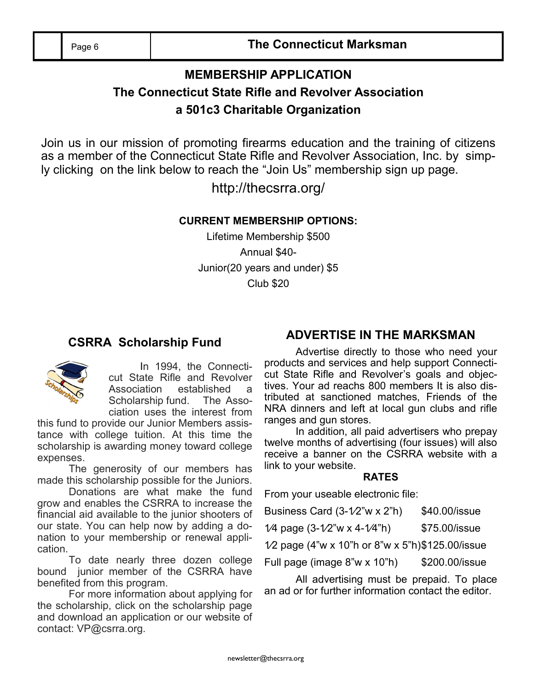Page 6 **The Connecticut Marksman**

## **MEMBERSHIP APPLICATION The Connecticut State Rifle and Revolver Association a 501c3 Charitable Organization**

Join us in our mission of promoting firearms education and the training of citizens as a member of the Connecticut State Rifle and Revolver Association, Inc. by simply clicking on the link below to reach the "Join Us" membership sign up page.

http://thecsrra.org/

#### **CURRENT MEMBERSHIP OPTIONS:**

Lifetime Membership \$500 Annual \$40- Junior(20 years and under) \$5 Club \$20

### **CSRRA Scholarship Fund**



In 1994, the Connecticut State Rifle and Revolver Association established a Scholarship fund. The Association uses the interest from

this fund to provide our Junior Members assistance with college tuition. At this time the scholarship is awarding money toward college expenses.

The generosity of our members has made this scholarship possible for the Juniors.

Donations are what make the fund grow and enables the CSRRA to increase the financial aid available to the junior shooters of our state. You can help now by adding a donation to your membership or renewal application.

To date nearly three dozen college bound junior member of the CSRRA have benefited from this program.

For more information about applying for the scholarship, click on the scholarship page and download an application or our website of contact: VP@csrra.org.

### **ADVERTISE IN THE MARKSMAN**

Advertise directly to those who need your products and services and help support Connecticut State Rifle and Revolver's goals and objectives. Your ad reachs 800 members It is also distributed at sanctioned matches, Friends of the NRA dinners and left at local gun clubs and rifle ranges and gun stores.

In addition, all paid advertisers who prepay twelve months of advertising (four issues) will also receive a banner on the CSRRA website with a link to your website.

#### **RATES**

From your useable electronic file:

| Business Card $(3-1/2"w \times 2"h)$ | \$40.00/issue |
|--------------------------------------|---------------|
|                                      |               |

| \$75.00/issue<br>1/4 page $(3-1/2"w \times 4-1/4"h)$ |
|------------------------------------------------------|
|------------------------------------------------------|

1⁄2 page (4"w x 10"h or 8"w x 5"h)\$125.00/issue

Full page (image 8"w x 10"h) \$200.00/issue

All advertising must be prepaid. To place an ad or for further information contact the editor.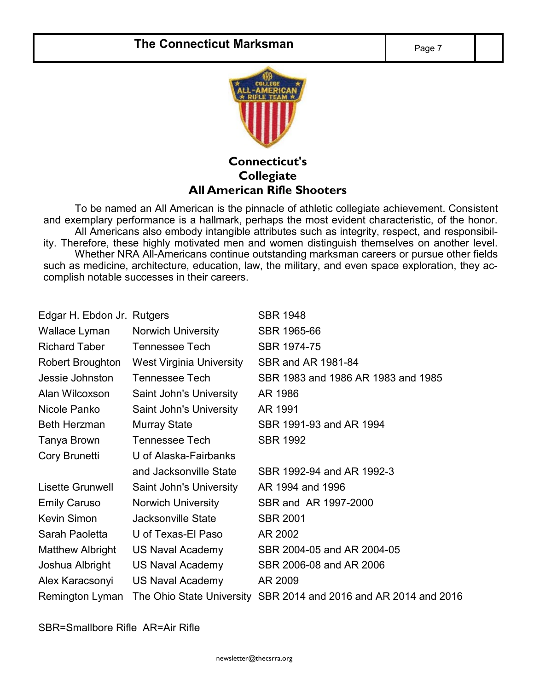

**Connecticut's Collegiate All American Rifle Shooters**

To be named an All American is the pinnacle of athletic collegiate achievement. Consistent and exemplary performance is a hallmark, perhaps the most evident characteristic, of the honor. All Americans also embody intangible attributes such as integrity, respect, and responsibility. Therefore, these highly motivated men and women distinguish themselves on another level. Whether NRA All-Americans continue outstanding marksman careers or pursue other fields such as medicine, architecture, education, law, the military, and even space exploration, they accomplish notable successes in their careers.

| Edgar H. Ebdon Jr. Rutgers |                          | <b>SBR 1948</b>                                                  |
|----------------------------|--------------------------|------------------------------------------------------------------|
| Wallace Lyman              | Norwich University       | SBR 1965-66                                                      |
| <b>Richard Taber</b>       | <b>Tennessee Tech</b>    | SBR 1974-75                                                      |
| <b>Robert Broughton</b>    | West Virginia University | SBR and AR 1981-84                                               |
| Jessie Johnston            | Tennessee Tech           | SBR 1983 and 1986 AR 1983 and 1985                               |
| Alan Wilcoxson             | Saint John's University  | AR 1986                                                          |
| Nicole Panko               | Saint John's University  | AR 1991                                                          |
| <b>Beth Herzman</b>        | <b>Murray State</b>      | SBR 1991-93 and AR 1994                                          |
| Tanya Brown                | Tennessee Tech           | <b>SBR 1992</b>                                                  |
| Cory Brunetti              | U of Alaska-Fairbanks    |                                                                  |
|                            | and Jacksonville State   | SBR 1992-94 and AR 1992-3                                        |
| Lisette Grunwell           | Saint John's University  | AR 1994 and 1996                                                 |
| <b>Emily Caruso</b>        | Norwich University       | SBR and AR 1997-2000                                             |
| Kevin Simon                | Jacksonville State       | <b>SBR 2001</b>                                                  |
| Sarah Paoletta             | U of Texas-El Paso       | AR 2002                                                          |
| Matthew Albright           | US Naval Academy         | SBR 2004-05 and AR 2004-05                                       |
| Joshua Albright            | US Naval Academy         | SBR 2006-08 and AR 2006                                          |
| Alex Karacsonyi            | <b>US Naval Academy</b>  | AR 2009                                                          |
| Remington Lyman            |                          | The Ohio State University SBR 2014 and 2016 and AR 2014 and 2016 |

SBR=Smallbore Rifle AR=Air Rifle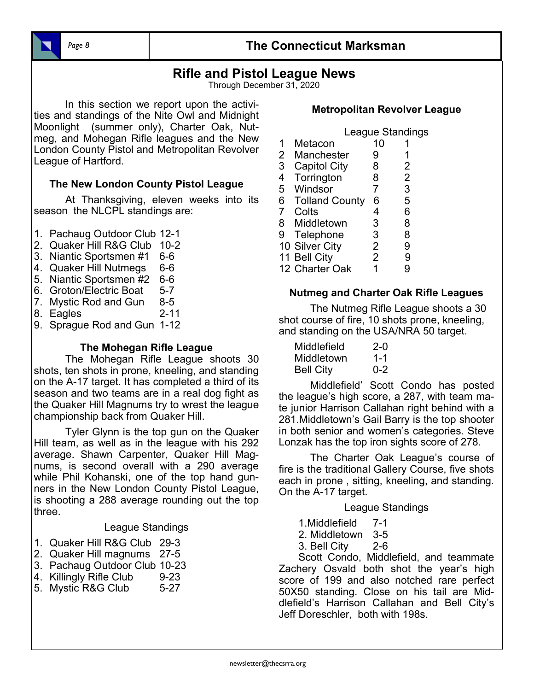#### *Page 8* **The Connecticut Marksman**

### **Rifle and Pistol League News**

Through December 31, 2020

In this section we report upon the activities and standings of the Nite Owl and Midnight Moonlight (summer only), Charter Oak, Nutmeg, and Mohegan Rifle leagues and the New London County Pistol and Metropolitan Revolver League of Hartford.

#### **The New London County Pistol League**

At Thanksgiving, eleven weeks into its season the NLCPL standings are:

- 1. Pachaug Outdoor Club 12-1
- 2. Quaker Hill R&G Club 10-2
- 3. Niantic Sportsmen #1 6-6
- 4. Quaker Hill Nutmegs 6-6
- 5. Niantic Sportsmen #2 6-6
- 6. Groton/Electric Boat 5-7
- 7. Mystic Rod and Gun 8-5
- 8. Eagles 2-11
- 9. Sprague Rod and Gun 1-12

#### **The Mohegan Rifle League**

The Mohegan Rifle League shoots 30 shots, ten shots in prone, kneeling, and standing on the A-17 target. It has completed a third of its season and two teams are in a real dog fight as the Quaker Hill Magnums try to wrest the league championship back from Quaker Hill.

Tyler Glynn is the top gun on the Quaker Hill team, as well as in the league with his 292 average. Shawn Carpenter, Quaker Hill Magnums, is second overall with a 290 average while Phil Kohanski, one of the top hand gunners in the New London County Pistol League, is shooting a 288 average rounding out the top three.

#### League Standings

- 1. Quaker Hill R&G Club 29-3
- 2. Quaker Hill magnums 27-5
- 3. Pachaug Outdoor Club 10-23
- 4. Killingly Rifle Club 9-23
- 5. Mystic R&G Club 5-27

#### **Metropolitan Revolver League**

|           | League Standings |  |
|-----------|------------------|--|
| 1 Metacon | 10               |  |

- 2 Manchester 9 1
- 3 Capitol City 8 2
- 4 Torrington 8 2<br>5 Windsor 7 3
- Windsor 7
- 6 Tolland County 6 5<br>7 Colts 4 6
- Colts 4<br>Middletown 3 8 Middletown 3 8
- 
- 9 Telephone 3 8<br>10 Silver Citv 2 9 10 Silver City
- 
- 11 Bell City 2 9<br>12 Charter Oak 1 9 12 Charter Oak

#### **Nutmeg and Charter Oak Rifle Leagues**

The Nutmeg Rifle League shoots a 30 shot course of fire, 10 shots prone, kneeling, and standing on the USA/NRA 50 target.

| Middlefield      | $2 - 0$ |
|------------------|---------|
| Middletown       | 1-1     |
| <b>Bell City</b> | $0 - 2$ |

Middlefield' Scott Condo has posted the league's high score, a 287, with team mate junior Harrison Callahan right behind with a 281.Middletown's Gail Barry is the top shooter in both senior and women's categories. Steve Lonzak has the top iron sights score of 278.

The Charter Oak League's course of fire is the traditional Gallery Course, five shots each in prone , sitting, kneeling, and standing. On the A-17 target.

#### League Standings

- 1.Middlefield 7-1
- 2. Middletown 3-5
- 3. Bell City 2-6

Scott Condo, Middlefield, and teammate Zachery Osvald both shot the year's high score of 199 and also notched rare perfect 50X50 standing. Close on his tail are Middlefield's Harrison Callahan and Bell City's Jeff Doreschler, both with 198s.